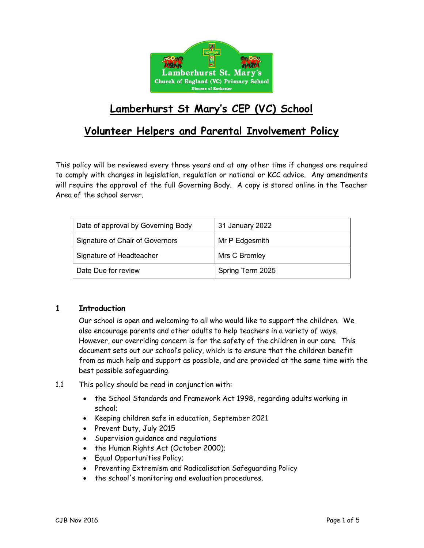

# Lamberhurst St Mary's CEP (VC) School

# Volunteer Helpers and Parental Involvement Policy

This policy will be reviewed every three years and at any other time if changes are required to comply with changes in legislation, regulation or national or KCC advice. Any amendments will require the approval of the full Governing Body. A copy is stored online in the Teacher Area of the school server.

| Date of approval by Governing Body | 31 January 2022  |
|------------------------------------|------------------|
| Signature of Chair of Governors    | Mr P Edgesmith   |
| Signature of Headteacher           | Mrs C Bromley    |
| Date Due for review                | Spring Term 2025 |

#### 1 Introduction

 Our school is open and welcoming to all who would like to support the children. We also encourage parents and other adults to help teachers in a variety of ways. However, our overriding concern is for the safety of the children in our care. This document sets out our school's policy, which is to ensure that the children benefit from as much help and support as possible, and are provided at the same time with the best possible safeguarding.

- 1.1 This policy should be read in conjunction with:
	- the School Standards and Framework Act 1998, regarding adults working in school;
	- Keeping children safe in education, September 2021
	- Prevent Duty, July 2015
	- Supervision guidance and regulations
	- the Human Rights Act (October 2000);
	- Equal Opportunities Policy;
	- Preventing Extremism and Radicalisation Safeguarding Policy
	- the school's monitoring and evaluation procedures.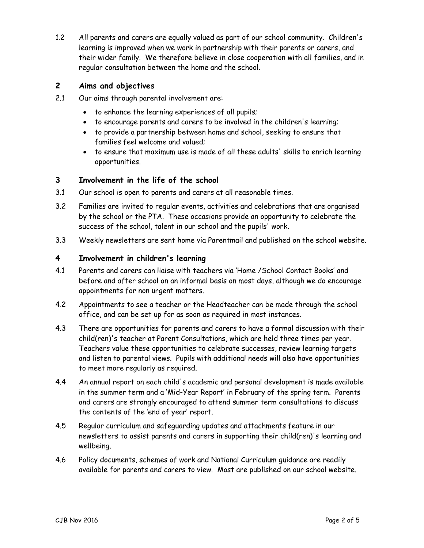1.2 All parents and carers are equally valued as part of our school community. Children's learning is improved when we work in partnership with their parents or carers, and their wider family. We therefore believe in close cooperation with all families, and in regular consultation between the home and the school.

### 2 Aims and objectives

- 2.1 Our aims through parental involvement are:
	- to enhance the learning experiences of all pupils;
	- to encourage parents and carers to be involved in the children's learning;
	- to provide a partnership between home and school, seeking to ensure that families feel welcome and valued;
	- to ensure that maximum use is made of all these adults' skills to enrich learning opportunities.

#### 3 Involvement in the life of the school

- 3.1 Our school is open to parents and carers at all reasonable times.
- 3.2 Families are invited to regular events, activities and celebrations that are organised by the school or the PTA. These occasions provide an opportunity to celebrate the success of the school, talent in our school and the pupils' work.
- 3.3 Weekly newsletters are sent home via Parentmail and published on the school website.

#### 4 Involvement in children's learning

- 4.1 Parents and carers can liaise with teachers via 'Home /School Contact Books' and before and after school on an informal basis on most days, although we do encourage appointments for non urgent matters.
- 4.2 Appointments to see a teacher or the Headteacher can be made through the school office, and can be set up for as soon as required in most instances.
- 4.3 There are opportunities for parents and carers to have a formal discussion with their child(ren)'s teacher at Parent Consultations, which are held three times per year. Teachers value these opportunities to celebrate successes, review learning targets and listen to parental views. Pupils with additional needs will also have opportunities to meet more regularly as required.
- 4.4 An annual report on each child's academic and personal development is made available in the summer term and a 'Mid-Year Report' in February of the spring term. Parents and carers are strongly encouraged to attend summer term consultations to discuss the contents of the 'end of year' report.
- 4.5 Regular curriculum and safeguarding updates and attachments feature in our newsletters to assist parents and carers in supporting their child(ren)'s learning and wellbeing.
- 4.6 Policy documents, schemes of work and National Curriculum guidance are readily available for parents and carers to view. Most are published on our school website.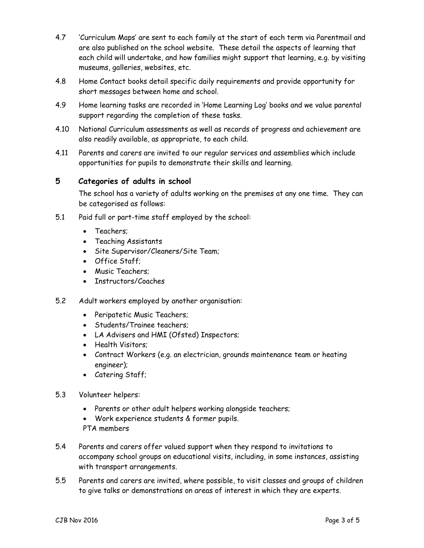- 4.7 'Curriculum Maps' are sent to each family at the start of each term via Parentmail and are also published on the school website. These detail the aspects of learning that each child will undertake, and how families might support that learning, e.g. by visiting museums, galleries, websites, etc.
- 4.8 Home Contact books detail specific daily requirements and provide opportunity for short messages between home and school.
- 4.9 Home learning tasks are recorded in 'Home Learning Log' books and we value parental support regarding the completion of these tasks.
- 4.10 National Curriculum assessments as well as records of progress and achievement are also readily available, as appropriate, to each child.
- 4.11 Parents and carers are invited to our regular services and assemblies which include opportunities for pupils to demonstrate their skills and learning.

## 5 Categories of adults in school

The school has a variety of adults working on the premises at any one time. They can be categorised as follows:

- 5.1 Paid full or part-time staff employed by the school:
	- Teachers:
	- Teaching Assistants
	- Site Supervisor/Cleaners/Site Team;
	- Office Staff;
	- Music Teachers:
	- Instructors/Coaches
- 5.2 Adult workers employed by another organisation:
	- Peripatetic Music Teachers;
	- Students/Trainee teachers:
	- LA Advisers and HMI (Ofsted) Inspectors;
	- Health Visitors:
	- Contract Workers (e.g. an electrician, grounds maintenance team or heating engineer);
	- Catering Staff;
- 5.3 Volunteer helpers:
	- Parents or other adult helpers working alongside teachers;
	- Work experience students & former pupils.
	- PTA members
- 5.4 Parents and carers offer valued support when they respond to invitations to accompany school groups on educational visits, including, in some instances, assisting with transport arrangements.
- 5.5 Parents and carers are invited, where possible, to visit classes and groups of children to give talks or demonstrations on areas of interest in which they are experts.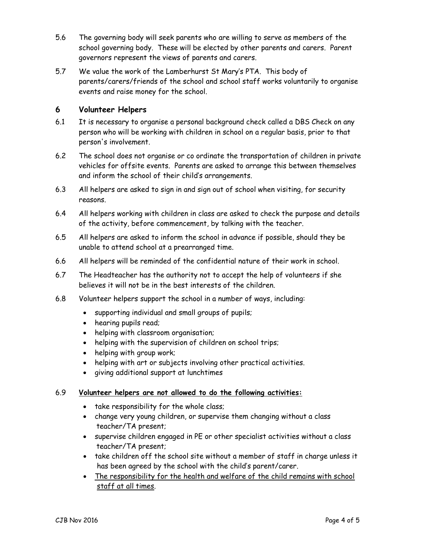- 5.6 The governing body will seek parents who are willing to serve as members of the school governing body. These will be elected by other parents and carers. Parent governors represent the views of parents and carers.
- 5.7 We value the work of the Lamberhurst St Mary's PTA. This body of parents/carers/friends of the school and school staff works voluntarily to organise events and raise money for the school.

### 6 Volunteer Helpers

- 6.1 It is necessary to organise a personal background check called a DBS Check on any person who will be working with children in school on a regular basis, prior to that person's involvement.
- 6.2 The school does not organise or co ordinate the transportation of children in private vehicles for offsite events. Parents are asked to arrange this between themselves and inform the school of their child's arrangements.
- 6.3 All helpers are asked to sign in and sign out of school when visiting, for security reasons.
- 6.4 All helpers working with children in class are asked to check the purpose and details of the activity, before commencement, by talking with the teacher.
- 6.5 All helpers are asked to inform the school in advance if possible, should they be unable to attend school at a prearranged time.
- 6.6 All helpers will be reminded of the confidential nature of their work in school.
- 6.7 The Headteacher has the authority not to accept the help of volunteers if she believes it will not be in the best interests of the children.
- 6.8 Volunteer helpers support the school in a number of ways, including:
	- supporting individual and small groups of pupils;
	- hearing pupils read;
	- helping with classroom organisation;
	- helping with the supervision of children on school trips;
	- helping with group work;
	- helping with art or subjects involving other practical activities.
	- giving additional support at lunchtimes

#### 6.9 Volunteer helpers are not allowed to do the following activities:

- take responsibility for the whole class;
- change very young children, or supervise them changing without a class teacher/TA present;
- supervise children engaged in PE or other specialist activities without a class teacher/TA present;
- take children off the school site without a member of staff in charge unless it has been agreed by the school with the child's parent/carer.
- The responsibility for the health and welfare of the child remains with school staff at all times.